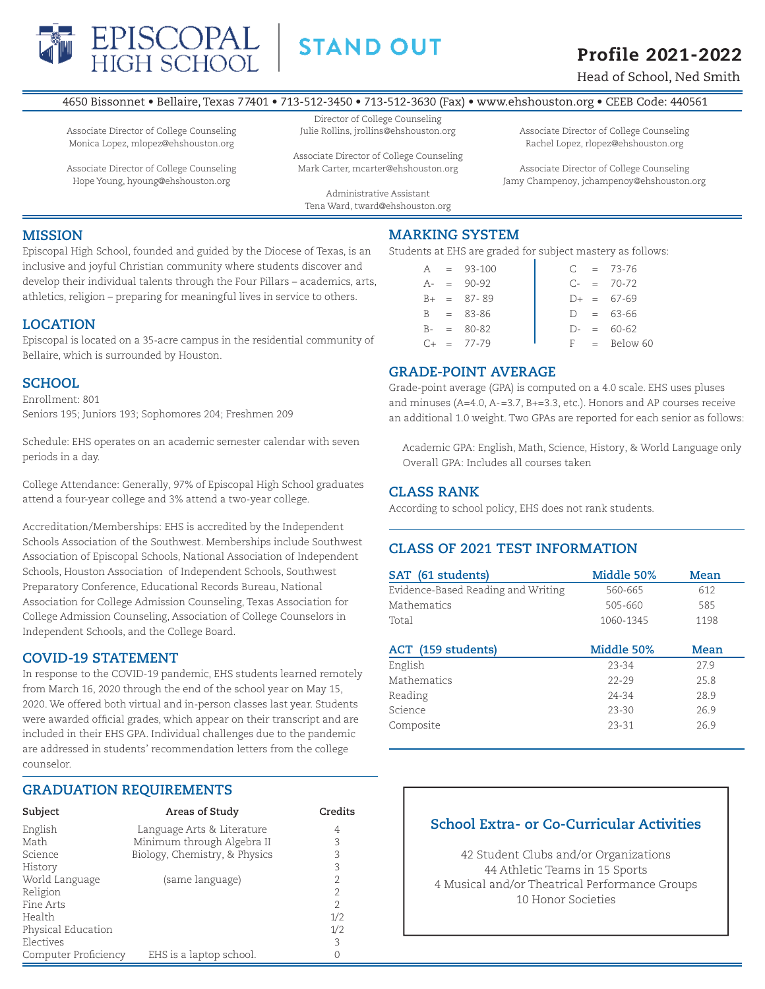

Associate Director of College Counseling Monica Lopez, mlopez@ehshouston.org Associate Director of College Counseling Hope Young, hyoung@ehshouston.org

**STAND OUT** 

# **Profile 2021-2022**

Head of School, Ned Smith

60

## 4650 Bissonnet • Bellaire, Texas 77401 • 713-512-3450 • 713-512-3630 (Fax) • www.ehshouston.org • CEEB Code: 440561

Director of College Counseling Julie Rollins, jrollins@ehshouston.org

> Associate Director of College Counseling Mark Carter, mcarter@ehshouston.org

Administrative Assistant Tena Ward, tward@ehshouston.org Associate Director of College Counseling Rachel Lopez, rlopez@ehshouston.org

Associate Director of College Counseling Jamy Champenoy, jchampenoy@ehshouston.org

# **MISSION**

Episcopal High School, founded and guided by the Diocese of Texas, is an inclusive and joyful Christian community where students discover and develop their individual talents through the Four Pillars – academics, arts, athletics, religion – preparing for meaningful lives in service to others.

# **LOCATION**

Episcopal is located on a 35-acre campus in the residential community of Bellaire, which is surrounded by Houston.

# **SCHOOL**

Enrollment: 801 Seniors 195; Juniors 193; Sophomores 204; Freshmen 209

Schedule: EHS operates on an academic semester calendar with seven periods in a day.

College Attendance: Generally, 97% of Episcopal High School graduates attend a four-year college and 3% attend a two-year college.

Accreditation/Memberships: EHS is accredited by the Independent Schools Association of the Southwest. Memberships include Southwest Association of Episcopal Schools, National Association of Independent Schools, Houston Association of Independent Schools, Southwest Preparatory Conference, Educational Records Bureau, National Association for College Admission Counseling, Texas Association for College Admission Counseling, Association of College Counselors in Independent Schools, and the College Board.

# **COVID-19 STATEMENT**

In response to the COVID-19 pandemic, EHS students learned remotely from March 16, 2020 through the end of the school year on May 15, 2020. We offered both virtual and in-person classes last year. Students were awarded official grades, which appear on their transcript and are included in their EHS GPA. Individual challenges due to the pandemic are addressed in students' recommendation letters from the college counselor.

# **GRADUATION REQUIREMENTS**

| Subject              | Areas of Study                | Credits        |
|----------------------|-------------------------------|----------------|
| English              | Language Arts & Literature    | 4              |
| Math                 | Minimum through Algebra II    | 3              |
| Science              | Biology, Chemistry, & Physics | 3              |
| History              |                               | 3              |
| World Language       | (same language)               | 2              |
| Religion             |                               | $\overline{2}$ |
| Fine Arts            |                               | $\mathfrak{D}$ |
| Health               |                               | 1/2            |
| Physical Education   |                               | 1/2            |
| Electives            |                               | 3              |
| Computer Proficiency | EHS is a laptop school.       | 0              |

# **MARKING SYSTEM**

Students at EHS are graded for subject mastery as follows:

|         | $A = 93-100$  | $\subset$ | $= 73 - 76$ |
|---------|---------------|-----------|-------------|
|         | $A - = 90-92$ | $C-$      | $= 70-72$   |
| $R_{+}$ | $= 87-89$     | $D+$      | $= 67-69$   |
| B.      | $= 83 - 86$   | D.        | $= 63-66$   |
| $B -$   | $= 80-82$     | $D-$      | $= 60-62$   |
| ⊂⊥      | $= 77 - 79$   | F.        | = Below     |

# **GRADE-POINT AVERAGE**

Grade-point average (GPA) is computed on a 4.0 scale. EHS uses pluses and minuses (A=4.0, A-=3.7, B+=3.3, etc.). Honors and AP courses receive an additional 1.0 weight. Two GPAs are reported for each senior as follows:

 Academic GPA: English, Math, Science, History, & World Language only Overall GPA: Includes all courses taken

# **CLASS RANK**

According to school policy, EHS does not rank students.

# **CLASS OF 2021 TEST INFORMATION**

| SAT (61 students)                  | Middle 50% | Mean |  |
|------------------------------------|------------|------|--|
| Evidence-Based Reading and Writing | 560-665    | 612  |  |
| Mathematics                        | 505-660    | 585  |  |
| Total                              | 1060-1345  | 1198 |  |
| ACT (159 students)                 | Middle 50% | Mean |  |
| English                            | 23-34      | 27.9 |  |
| Mathematics                        | $22 - 29$  | 25.8 |  |
| Reading                            | 24-34      | 28.9 |  |
| Science                            | $23 - 30$  | 26.9 |  |
| Composite                          | 23-31      | 26.9 |  |

# **School Extra- or Co-Curricular Activities**

42 Student Clubs and/or Organizations 44 Athletic Teams in 15 Sports 4 Musical and/or Theatrical Performance Groups 10 Honor Societies